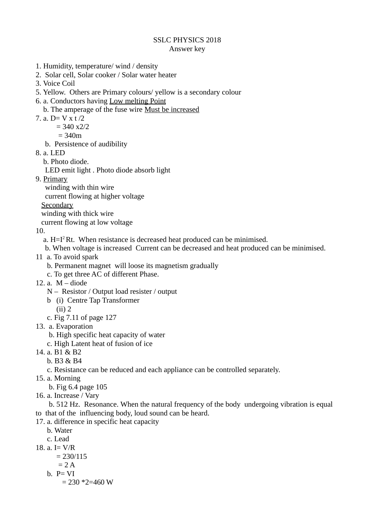## SSLC PHYSICS 2018 Answer key

- 1. Humidity, temperature/ wind / density
- 2. Solar cell, Solar cooker / Solar water heater
- 3. Voice Coil
- 5. Yellow. Others are Primary colours/ yellow is a secondary colour
- 6. a. Conductors having Low melting Point
- b. The amperage of the fuse wire Must be increased
- 7. a.  $D = V x t / 2$ 
	- $= 340 x2/2$
	- $= 340m$
	- b. Persistence of audibility
- 8. a. LED
	- b. Photo diode.
	- LED emit light . Photo diode absorb light
- 9. Primary
	- winding with thin wire current flowing at higher voltage Secondary
	- winding with thick wire
	- current flowing at low voltage
- 10.
	- a.  $H=I<sup>2</sup>Rt$ . When resistance is decreased heat produced can be minimised.
	- b. When voltage is increased Current can be decreased and heat produced can be minimised.
- 11 a. To avoid spark
	- b. Permanent magnet will loose its magnetism gradually
	- c. To get three AC of different Phase.
- 12. a. M diode
	- N Resistor / Output load resister / output
	- b (i) Centre Tap Transformer
		- (ii) 2
	- c. Fig 7.11 of page 127
- 13. a. Evaporation
	- b. High specific heat capacity of water
	- c. High Latent heat of fusion of ice
- 14. a. B1 & B2
	- b. B3 & B4
	- c. Resistance can be reduced and each appliance can be controlled separately.
- 15. a. Morning
	- b. Fig 6.4 page 105
- 16. a. Increase / Vary
- b. 512 Hz. Resonance. When the natural frequency of the body undergoing vibration is equal to that of the influencing body, loud sound can be heard.
- 17. a. difference in specific heat capacity
	- b. Water
	- c. Lead
- 18. a. I= V/R
	- $= 230/115$ 
		- $= 2 A$

$$
b. P=VI
$$

 $= 230 * 2 = 460$  W